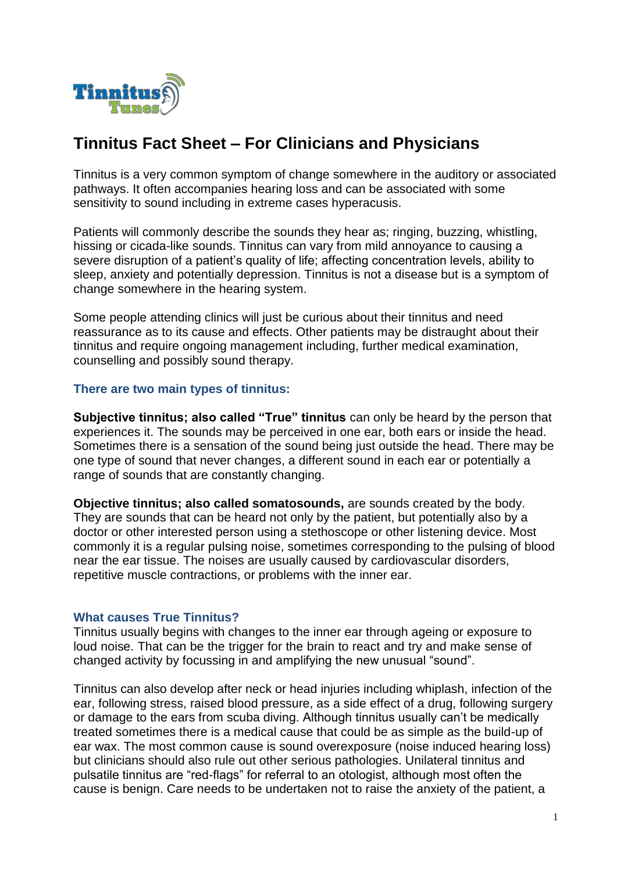

# **Tinnitus Fact Sheet – For Clinicians and Physicians**

Tinnitus is a very common symptom of change somewhere in the auditory or associated pathways. It often accompanies hearing loss and can be associated with some sensitivity to sound including in extreme cases hyperacusis.

Patients will commonly describe the sounds they hear as; ringing, buzzing, whistling, hissing or cicada-like sounds. Tinnitus can vary from mild annoyance to causing a severe disruption of a patient's quality of life; affecting concentration levels, ability to sleep, anxiety and potentially depression. Tinnitus is not a disease but is a symptom of change somewhere in the hearing system.

Some people attending clinics will just be curious about their tinnitus and need reassurance as to its cause and effects. Other patients may be distraught about their tinnitus and require ongoing management including, further medical examination, counselling and possibly sound therapy.

#### **There are two main types of tinnitus:**

**Subjective tinnitus; also called "True" tinnitus** can only be heard by the person that experiences it. The sounds may be perceived in one ear, both ears or inside the head. Sometimes there is a sensation of the sound being just outside the head. There may be one type of sound that never changes, a different sound in each ear or potentially a range of sounds that are constantly changing.

**Objective tinnitus; also called somatosounds,** are sounds created by the body. They are sounds that can be heard not only by the patient, but potentially also by a doctor or other interested person using a stethoscope or other listening device. Most commonly it is a regular pulsing noise, sometimes corresponding to the pulsing of blood near the ear tissue. The noises are usually caused by cardiovascular disorders, repetitive muscle contractions, or problems with the inner ear.

#### **What causes True Tinnitus?**

Tinnitus usually begins with changes to the inner ear through ageing or exposure to loud noise. That can be the trigger for the brain to react and try and make sense of changed activity by focussing in and amplifying the new unusual "sound".

Tinnitus can also develop after neck or head injuries including whiplash, infection of the ear, following stress, raised blood pressure, as a side effect of a drug, following surgery or damage to the ears from scuba diving. Although tinnitus usually can't be medically treated sometimes there is a medical cause that could be as simple as the build-up of ear wax. The most common cause is sound overexposure (noise induced hearing loss) but clinicians should also rule out other serious pathologies. Unilateral tinnitus and pulsatile tinnitus are "red-flags" for referral to an otologist, although most often the cause is benign. Care needs to be undertaken not to raise the anxiety of the patient, a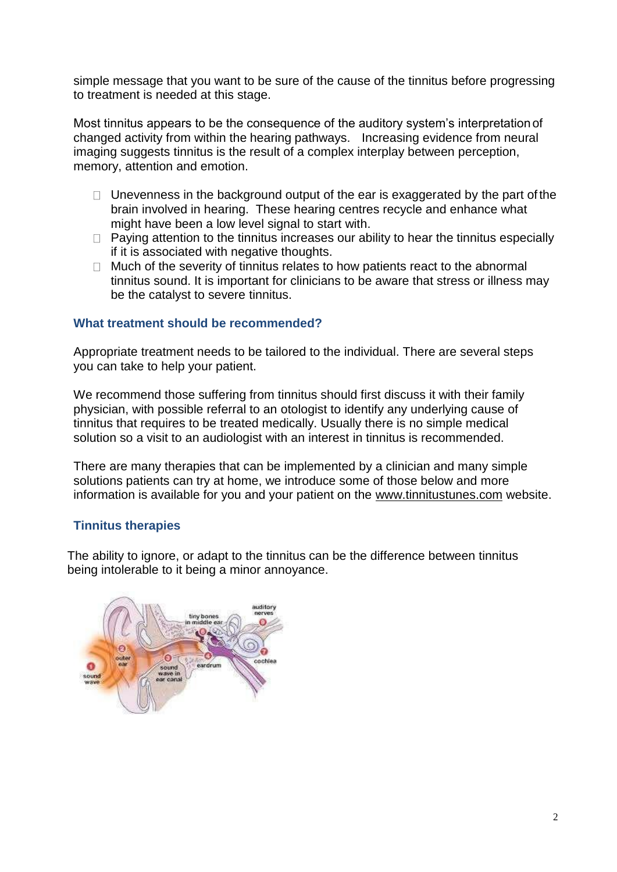simple message that you want to be sure of the cause of the tinnitus before progressing to treatment is needed at this stage.

Most tinnitus appears to be the consequence of the auditory system's interpretation of changed activity from within the hearing pathways. Increasing evidence from neural imaging suggests tinnitus is the result of a complex interplay between perception, memory, attention and emotion.

- $\Box$  Unevenness in the background output of the ear is exaggerated by the part of the brain involved in hearing. These hearing centres recycle and enhance what might have been a low level signal to start with.
- $\Box$  Paying attention to the tinnitus increases our ability to hear the tinnitus especially if it is associated with negative thoughts.
- $\Box$  Much of the severity of tinnitus relates to how patients react to the abnormal tinnitus sound. It is important for clinicians to be aware that stress or illness may be the catalyst to severe tinnitus.

#### **What treatment should be recommended?**

Appropriate treatment needs to be tailored to the individual. There are several steps you can take to help your patient.

We recommend those suffering from tinnitus should first discuss it with their family physician, with possible referral to an otologist to identify any underlying cause of tinnitus that requires to be treated medically. Usually there is no simple medical solution so a visit to an audiologist with an interest in tinnitus is recommended.

There are many therapies that can be implemented by a clinician and many simple solutions patients can try at home, we introduce some of those below and more information is available for you and your patient on the [www.tinnitustunes.com](http://www.tinnitustunes.com/) website.

# **Tinnitus therapies**

The ability to ignore, or adapt to the tinnitus can be the difference between tinnitus being intolerable to it being a minor annoyance.

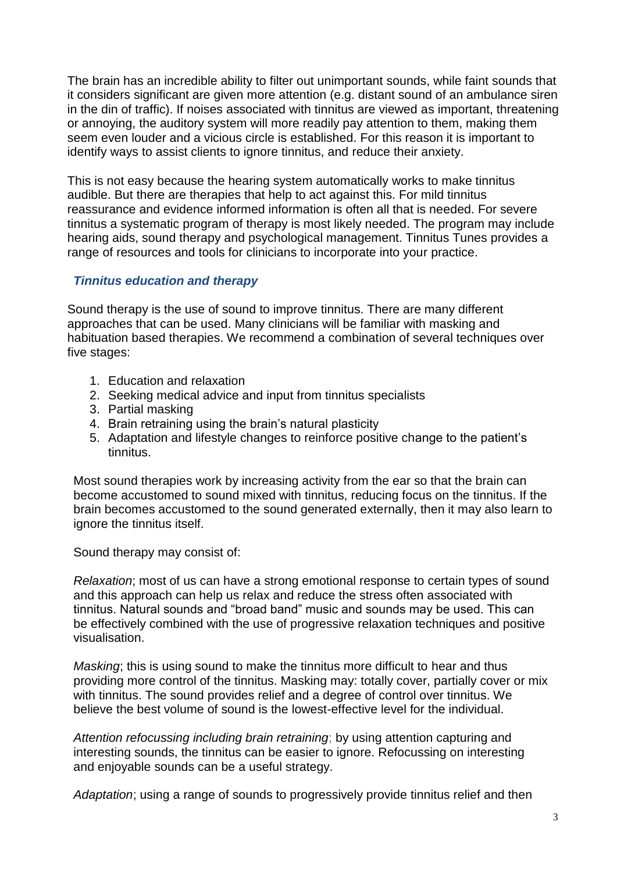The brain has an incredible ability to filter out unimportant sounds, while faint sounds that it considers significant are given more attention (e.g. distant sound of an ambulance siren in the din of traffic). If noises associated with tinnitus are viewed as important, threatening or annoying, the auditory system will more readily pay attention to them, making them seem even louder and a vicious circle is established. For this reason it is important to identify ways to assist clients to ignore tinnitus, and reduce their anxiety.

This is not easy because the hearing system automatically works to make tinnitus audible. But there are therapies that help to act against this. For mild tinnitus reassurance and evidence informed information is often all that is needed. For severe tinnitus a systematic program of therapy is most likely needed. The program may include hearing aids, sound therapy and psychological management. Tinnitus Tunes provides a range of resources and tools for clinicians to incorporate into your practice.

#### *Tinnitus education and therapy*

Sound therapy is the use of sound to improve tinnitus. There are many different approaches that can be used. Many clinicians will be familiar with masking and habituation based therapies. We recommend a combination of several techniques over five stages:

- 1. Education and relaxation
- 2. Seeking medical advice and input from tinnitus specialists
- 3. Partial masking
- 4. Brain retraining using the brain's natural plasticity
- 5. Adaptation and lifestyle changes to reinforce positive change to the patient's tinnitus.

Most sound therapies work by increasing activity from the ear so that the brain can become accustomed to sound mixed with tinnitus, reducing focus on the tinnitus. If the brain becomes accustomed to the sound generated externally, then it may also learn to ignore the tinnitus itself.

Sound therapy may consist of:

*Relaxation*; most of us can have a strong emotional response to certain types of sound and this approach can help us relax and reduce the stress often associated with tinnitus. Natural sounds and "broad band" music and sounds may be used. This can be effectively combined with the use of progressive relaxation techniques and positive visualisation.

*Masking*; this is using sound to make the tinnitus more difficult to hear and thus providing more control of the tinnitus. Masking may: totally cover, partially cover or mix with tinnitus. The sound provides relief and a degree of control over tinnitus. We believe the best volume of sound is the lowest-effective level for the individual.

*Attention refocussing including brain retraining*; by using attention capturing and interesting sounds, the tinnitus can be easier to ignore. Refocussing on interesting and enjoyable sounds can be a useful strategy.

*Adaptation*; using a range of sounds to progressively provide tinnitus relief and then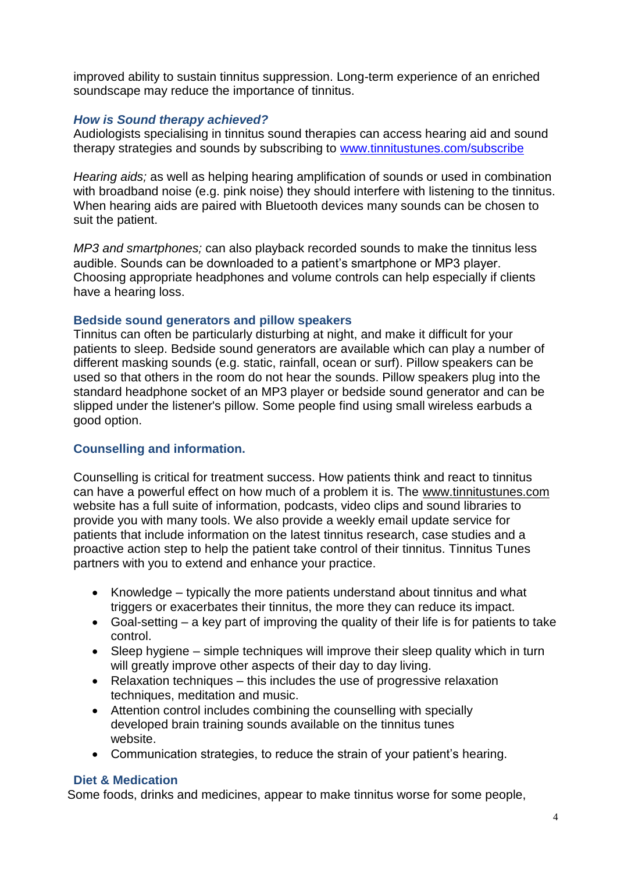improved ability to sustain tinnitus suppression. Long-term experience of an enriched soundscape may reduce the importance of tinnitus.

# *How is Sound therapy achieved?*

Audiologists specialising in tinnitus sound therapies can access hearing aid and sound therapy strategies and sounds by subscribing to [www.tinnitustunes.com/subscribe](http://www.tinnitustunes.com/subscribe)

*Hearing aids;* as well as helping hearing amplification of sounds or used in combination with broadband noise (e.g. pink noise) they should interfere with listening to the tinnitus. When hearing aids are paired with Bluetooth devices many sounds can be chosen to suit the patient.

*MP3 and smartphones;* can also playback recorded sounds to make the tinnitus less audible. Sounds can be downloaded to a patient's smartphone or MP3 player. Choosing appropriate headphones and volume controls can help especially if clients have a hearing loss.

#### **Bedside sound generators and pillow speakers**

Tinnitus can often be particularly disturbing at night, and make it difficult for your patients to sleep. Bedside sound generators are available which can play a number of different masking sounds (e.g. static, rainfall, ocean or surf). Pillow speakers can be used so that others in the room do not hear the sounds. Pillow speakers plug into the standard headphone socket of an MP3 player or bedside sound generator and can be slipped under the listener's pillow. Some people find using small wireless earbuds a good option.

# **Counselling and information.**

Counselling is critical for treatment success. How patients think and react to tinnitus can have a powerful effect on how much of a problem it is. The [www.tinnitustunes.com](http://www.tinnitustunes.com/) website has a full suite of information, podcasts, video clips and sound libraries to provide you with many tools. We also provide a weekly email update service for patients that include information on the latest tinnitus research, case studies and a proactive action step to help the patient take control of their tinnitus. Tinnitus Tunes partners with you to extend and enhance your practice.

- Knowledge typically the more patients understand about tinnitus and what triggers or exacerbates their tinnitus, the more they can reduce its impact.
- Goal-setting a key part of improving the quality of their life is for patients to take control.
- Sleep hygiene simple techniques will improve their sleep quality which in turn will greatly improve other aspects of their day to day living.
- Relaxation techniques this includes the use of progressive relaxation techniques, meditation and music.
- Attention control includes combining the counselling with specially developed brain training sounds available on the tinnitus tunes website.
- Communication strategies, to reduce the strain of your patient's hearing.

# **Diet & Medication**

Some foods, drinks and medicines, appear to make tinnitus worse for some people,